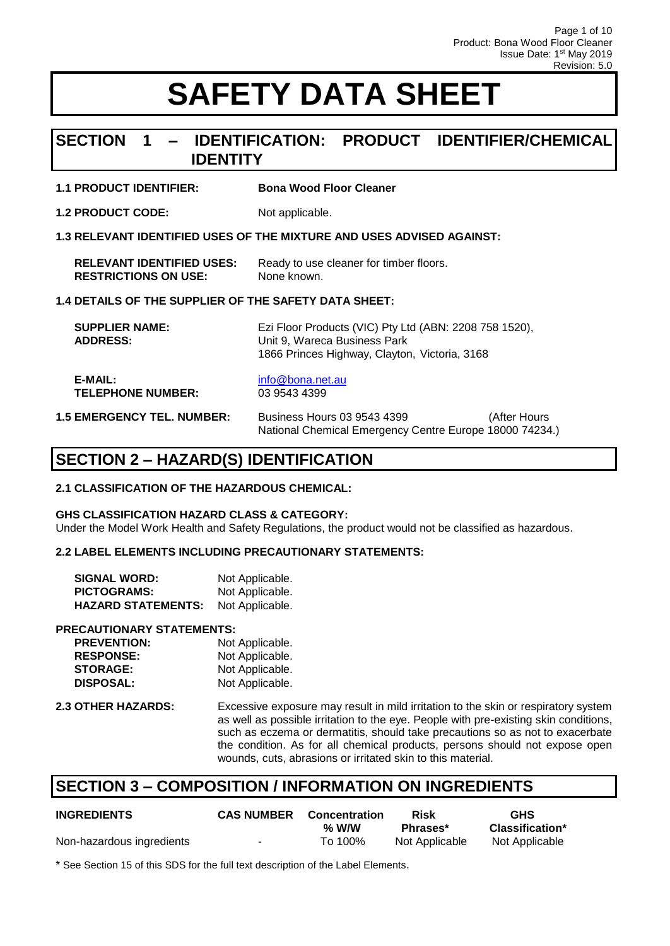### **SECTION 1 – IDENTIFICATION: PRODUCT IDENTIFIER/CHEMICAL IDENTITY**

#### **1.1 PRODUCT IDENTIFIER: Bona Wood Floor Cleaner**

**1.2 PRODUCT CODE:** Not applicable.

#### **1.3 RELEVANT IDENTIFIED USES OF THE MIXTURE AND USES ADVISED AGAINST:**

| <b>RELEVANT IDENTIFIED USES:</b> | Ready to use cleaner for timber floors. |
|----------------------------------|-----------------------------------------|
| <b>RESTRICTIONS ON USE:</b>      | None known.                             |

#### **1.4 DETAILS OF THE SUPPLIER OF THE SAFETY DATA SHEET:**

| <b>SUPPLIER NAME:</b><br><b>ADDRESS:</b> | Ezi Floor Products (VIC) Pty Ltd (ABN: 2208 758 1520),<br>Unit 9, Wareca Business Park<br>1866 Princes Highway, Clayton, Victoria, 3168 |
|------------------------------------------|-----------------------------------------------------------------------------------------------------------------------------------------|
| E-MAIL:                                  | info@bona.net.au                                                                                                                        |
| <b>TELEPHONE NUMBER:</b>                 | 03 9543 4399                                                                                                                            |

#### **1.5 EMERGENCY TEL. NUMBER:** Business Hours 03 9543 4399 (After Hours National Chemical Emergency Centre Europe 18000 74234.)

## **SECTION 2 – HAZARD(S) IDENTIFICATION**

#### **2.1 CLASSIFICATION OF THE HAZARDOUS CHEMICAL:**

#### **GHS CLASSIFICATION HAZARD CLASS & CATEGORY:**

Under the Model Work Health and Safety Regulations, the product would not be classified as hazardous.

#### **2.2 LABEL ELEMENTS INCLUDING PRECAUTIONARY STATEMENTS:**

| <b>SIGNAL WORD:</b>       | Not Applicable. |
|---------------------------|-----------------|
| <b>PICTOGRAMS:</b>        | Not Applicable. |
| <b>HAZARD STATEMENTS:</b> | Not Applicable. |

#### **PRECAUTIONARY STATEMENTS:**

| <b>PREVENTION:</b> | Not Applicable. |
|--------------------|-----------------|
| <b>RESPONSE:</b>   | Not Applicable. |
| <b>STORAGE:</b>    | Not Applicable. |
| <b>DISPOSAL:</b>   | Not Applicable. |

**2.3 OTHER HAZARDS:** Excessive exposure may result in mild irritation to the skin or respiratory system as well as possible irritation to the eye. People with pre-existing skin conditions, such as eczema or dermatitis, should take precautions so as not to exacerbate the condition. As for all chemical products, persons should not expose open wounds, cuts, abrasions or irritated skin to this material.

### **SECTION 3 – COMPOSITION / INFORMATION ON INGREDIENTS**

| <b>INGREDIENTS</b>        | <b>CAS NUMBER</b> | <b>Concentration</b> | Risk           | <b>GHS</b>             |
|---------------------------|-------------------|----------------------|----------------|------------------------|
|                           |                   | $%$ W/W              | Phrases*       | <b>Classification*</b> |
| Non-hazardous ingredients |                   | To 100%              | Not Applicable | Not Applicable         |

\* See Section 15 of this SDS for the full text description of the Label Elements.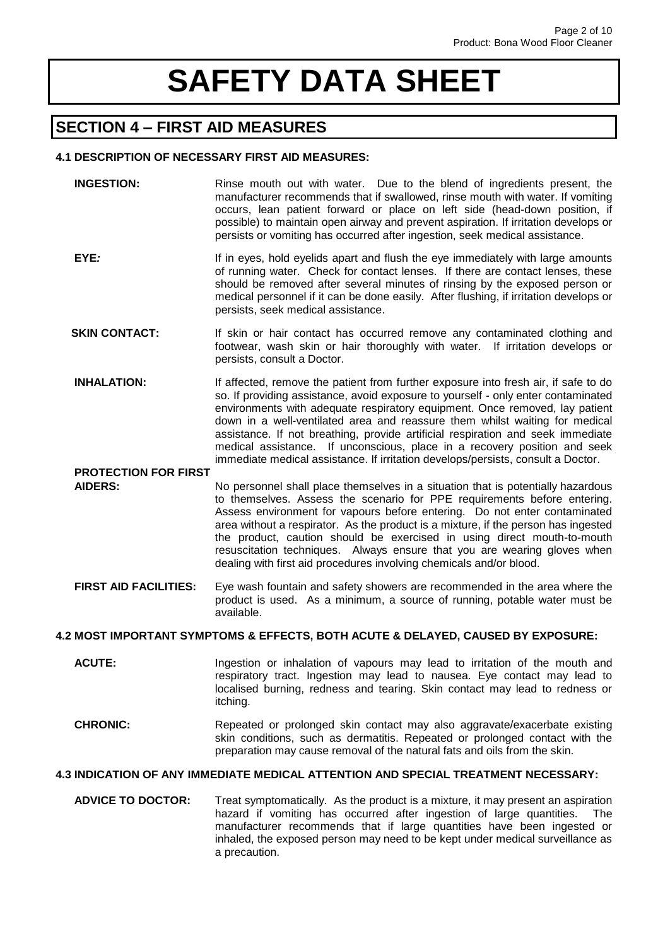## **SECTION 4 – FIRST AID MEASURES**

#### **4.1 DESCRIPTION OF NECESSARY FIRST AID MEASURES:**

- **INGESTION:** Rinse mouth out with water. Due to the blend of ingredients present, the manufacturer recommends that if swallowed, rinse mouth with water. If vomiting occurs, lean patient forward or place on left side (head-down position, if possible) to maintain open airway and prevent aspiration. If irritation develops or persists or vomiting has occurred after ingestion, seek medical assistance. **EYE**: If in eyes, hold eyelids apart and flush the eye immediately with large amounts of running water. Check for contact lenses. If there are contact lenses, these should be removed after several minutes of rinsing by the exposed person or medical personnel if it can be done easily. After flushing, if irritation develops or persists, seek medical assistance. **SKIN CONTACT:** If skin or hair contact has occurred remove any contaminated clothing and footwear, wash skin or hair thoroughly with water. If irritation develops or persists, consult a Doctor. **INHALATION:** If affected, remove the patient from further exposure into fresh air, if safe to do so. If providing assistance, avoid exposure to yourself - only enter contaminated environments with adequate respiratory equipment. Once removed, lay patient down in a well-ventilated area and reassure them whilst waiting for medical assistance. If not breathing, provide artificial respiration and seek immediate medical assistance. If unconscious, place in a recovery position and seek immediate medical assistance. If irritation develops/persists, consult a Doctor.  **PROTECTION FOR FIRST AIDERS:** No personnel shall place themselves in a situation that is potentially hazardous to themselves. Assess the scenario for PPE requirements before entering. Assess environment for vapours before entering. Do not enter contaminated area without a respirator. As the product is a mixture, if the person has ingested the product, caution should be exercised in using direct mouth-to-mouth resuscitation techniques. Always ensure that you are wearing gloves when
- **FIRST AID FACILITIES:** Eye wash fountain and safety showers are recommended in the area where the product is used. As a minimum, a source of running, potable water must be available.

dealing with first aid procedures involving chemicals and/or blood.

#### **4.2 MOST IMPORTANT SYMPTOMS & EFFECTS, BOTH ACUTE & DELAYED, CAUSED BY EXPOSURE:**

- **ACUTE:** Ingestion or inhalation of vapours may lead to irritation of the mouth and respiratory tract. Ingestion may lead to nausea. Eye contact may lead to localised burning, redness and tearing. Skin contact may lead to redness or itching.
- **CHRONIC:** Repeated or prolonged skin contact may also aggravate/exacerbate existing skin conditions, such as dermatitis. Repeated or prolonged contact with the preparation may cause removal of the natural fats and oils from the skin.

#### **4.3 INDICATION OF ANY IMMEDIATE MEDICAL ATTENTION AND SPECIAL TREATMENT NECESSARY:**

 **ADVICE TO DOCTOR:** Treat symptomatically. As the product is a mixture, it may present an aspiration hazard if vomiting has occurred after ingestion of large quantities. The manufacturer recommends that if large quantities have been ingested or inhaled, the exposed person may need to be kept under medical surveillance as a precaution.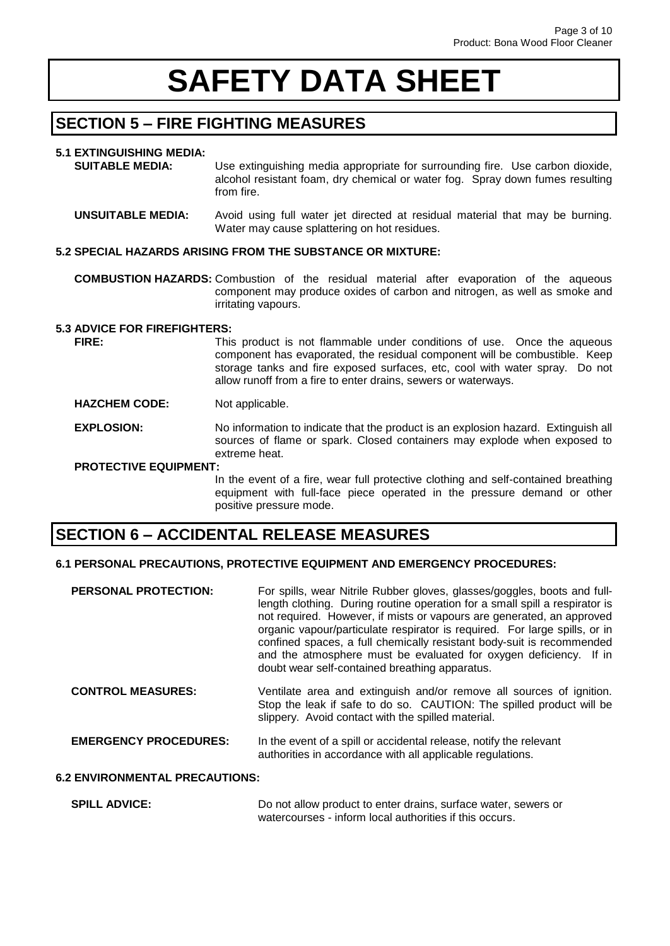## **SECTION 5 – FIRE FIGHTING MEASURES**

#### **5.1 EXTINGUISHING MEDIA:**

 **SUITABLE MEDIA:** Use extinguishing media appropriate for surrounding fire. Use carbon dioxide, alcohol resistant foam, dry chemical or water fog. Spray down fumes resulting from fire.

 **UNSUITABLE MEDIA:** Avoid using full water jet directed at residual material that may be burning. Water may cause splattering on hot residues.

#### **5.2 SPECIAL HAZARDS ARISING FROM THE SUBSTANCE OR MIXTURE:**

 **COMBUSTION HAZARDS:** Combustion of the residual material after evaporation of the aqueous component may produce oxides of carbon and nitrogen, as well as smoke and irritating vapours.

#### **5.3 ADVICE FOR FIREFIGHTERS:**

**FIRE:** This product is not flammable under conditions of use. Once the aqueous component has evaporated, the residual component will be combustible. Keep storage tanks and fire exposed surfaces, etc, cool with water spray. Do not allow runoff from a fire to enter drains, sewers or waterways.

#### **HAZCHEM CODE:** Not applicable.

**EXPLOSION:** No information to indicate that the product is an explosion hazard. Extinguish all sources of flame or spark. Closed containers may explode when exposed to extreme heat.

#### **PROTECTIVE EQUIPMENT:**

In the event of a fire, wear full protective clothing and self-contained breathing equipment with full-face piece operated in the pressure demand or other positive pressure mode.

### **SECTION 6 – ACCIDENTAL RELEASE MEASURES**

#### **6.1 PERSONAL PRECAUTIONS, PROTECTIVE EQUIPMENT AND EMERGENCY PROCEDURES:**

| <b>PERSONAL PROTECTION:</b> | For spills, wear Nitrile Rubber gloves, glasses/goggles, boots and full-<br>length clothing. During routine operation for a small spill a respirator is                                                                                                                                                                                             |
|-----------------------------|-----------------------------------------------------------------------------------------------------------------------------------------------------------------------------------------------------------------------------------------------------------------------------------------------------------------------------------------------------|
|                             | not required. However, if mists or vapours are generated, an approved<br>organic vapour/particulate respirator is required. For large spills, or in<br>confined spaces, a full chemically resistant body-suit is recommended<br>and the atmosphere must be evaluated for oxygen deficiency. If in<br>doubt wear self-contained breathing apparatus. |

 **CONTROL MEASURES:** Ventilate area and extinguish and/or remove all sources of ignition. Stop the leak if safe to do so. CAUTION: The spilled product will be slippery. Avoid contact with the spilled material.

**EMERGENCY PROCEDURES:** In the event of a spill or accidental release, notify the relevant authorities in accordance with all applicable regulations.

#### **6.2 ENVIRONMENTAL PRECAUTIONS:**

**SPILL ADVICE:** Do not allow product to enter drains, surface water, sewers or watercourses - inform local authorities if this occurs.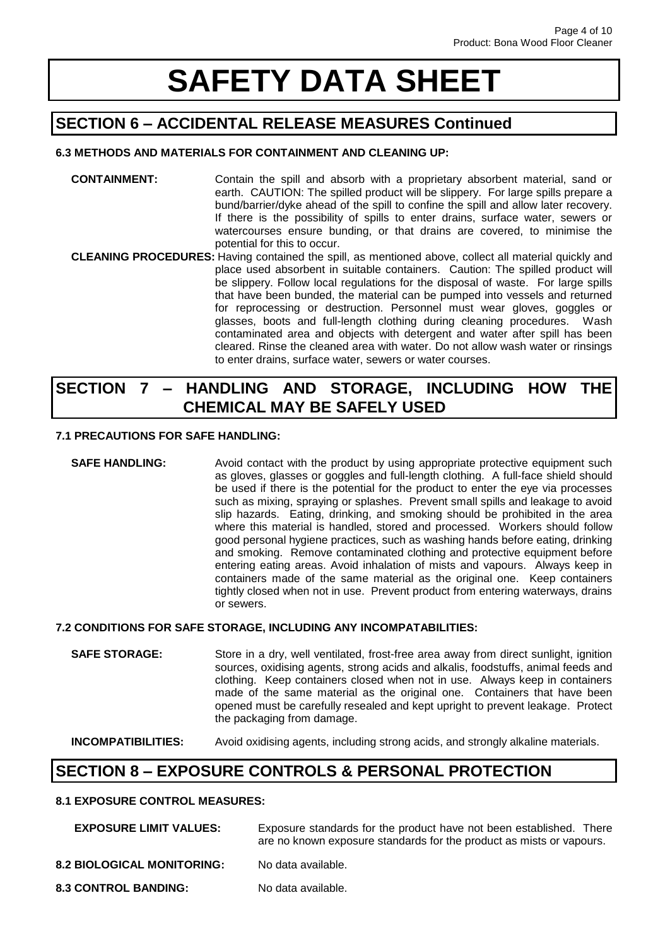## **SECTION 6 – ACCIDENTAL RELEASE MEASURES Continued**

#### **6.3 METHODS AND MATERIALS FOR CONTAINMENT AND CLEANING UP:**

- **CONTAINMENT:** Contain the spill and absorb with a proprietary absorbent material, sand or earth. CAUTION: The spilled product will be slippery. For large spills prepare a bund/barrier/dyke ahead of the spill to confine the spill and allow later recovery. If there is the possibility of spills to enter drains, surface water, sewers or watercourses ensure bunding, or that drains are covered, to minimise the potential for this to occur.
- **CLEANING PROCEDURES:** Having contained the spill, as mentioned above, collect all material quickly and place used absorbent in suitable containers. Caution: The spilled product will be slippery. Follow local regulations for the disposal of waste. For large spills that have been bunded, the material can be pumped into vessels and returned for reprocessing or destruction. Personnel must wear gloves, goggles or glasses, boots and full-length clothing during cleaning procedures. Wash contaminated area and objects with detergent and water after spill has been cleared. Rinse the cleaned area with water. Do not allow wash water or rinsings to enter drains, surface water, sewers or water courses.

### **SECTION 7 – HANDLING AND STORAGE, INCLUDING HOW THE CHEMICAL MAY BE SAFELY USED**

#### **7.1 PRECAUTIONS FOR SAFE HANDLING:**

**SAFE HANDLING:** Avoid contact with the product by using appropriate protective equipment such as gloves, glasses or goggles and full-length clothing. A full-face shield should be used if there is the potential for the product to enter the eye via processes such as mixing, spraying or splashes. Prevent small spills and leakage to avoid slip hazards. Eating, drinking, and smoking should be prohibited in the area where this material is handled, stored and processed. Workers should follow good personal hygiene practices, such as washing hands before eating, drinking and smoking. Remove contaminated clothing and protective equipment before entering eating areas. Avoid inhalation of mists and vapours. Always keep in containers made of the same material as the original one. Keep containers tightly closed when not in use. Prevent product from entering waterways, drains or sewers.

#### **7.2 CONDITIONS FOR SAFE STORAGE, INCLUDING ANY INCOMPATABILITIES:**

**SAFE STORAGE:** Store in a dry, well ventilated, frost-free area away from direct sunlight, ignition sources, oxidising agents, strong acids and alkalis, foodstuffs, animal feeds and clothing. Keep containers closed when not in use. Always keep in containers made of the same material as the original one. Containers that have been opened must be carefully resealed and kept upright to prevent leakage. Protect the packaging from damage.

 **INCOMPATIBILITIES:** Avoid oxidising agents, including strong acids, and strongly alkaline materials.

## **SECTION 8 – EXPOSURE CONTROLS & PERSONAL PROTECTION**

#### **8.1 EXPOSURE CONTROL MEASURES:**

| <b>EXPOSURE LIMIT VALUES:</b>     | Exposure standards for the product have not been established. There<br>are no known exposure standards for the product as mists or vapours. |
|-----------------------------------|---------------------------------------------------------------------------------------------------------------------------------------------|
| <b>8.2 BIOLOGICAL MONITORING:</b> | No data available.                                                                                                                          |
| <b>8.3 CONTROL BANDING:</b>       | No data available.                                                                                                                          |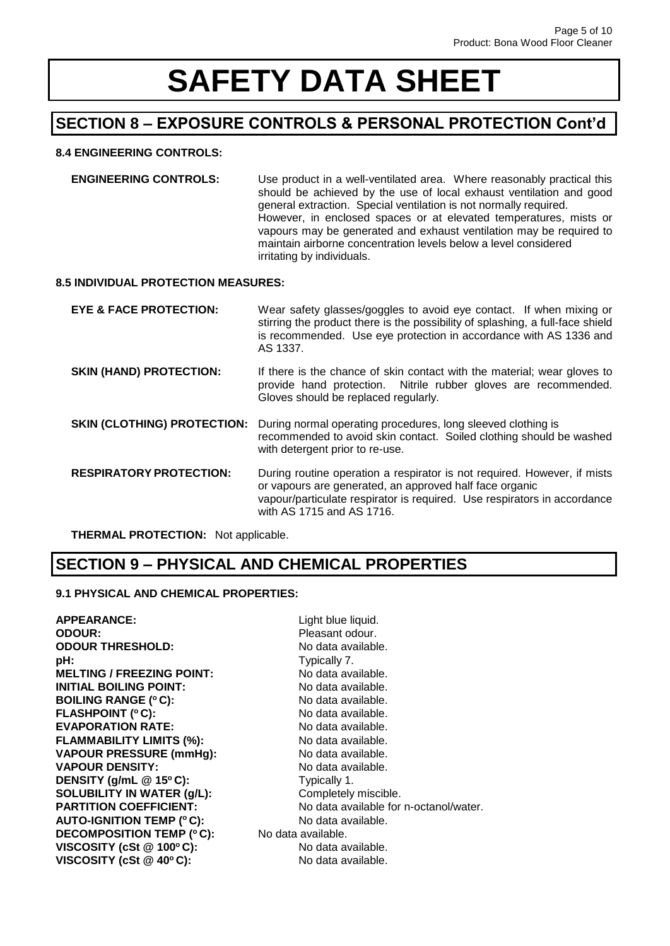## **SECTION 8 – EXPOSURE CONTROLS & PERSONAL PROTECTION Cont'd**

#### **8.4 ENGINEERING CONTROLS:**

**ENGINEERING CONTROLS:** Use product in a well-ventilated area. Where reasonably practical this should be achieved by the use of local exhaust ventilation and good general extraction. Special ventilation is not normally required. However, in enclosed spaces or at elevated temperatures, mists or vapours may be generated and exhaust ventilation may be required to maintain airborne concentration levels below a level considered irritating by individuals.

#### **8.5 INDIVIDUAL PROTECTION MEASURES:**

| EYE & FACE PROTECTION:             | Wear safety glasses/goggles to avoid eye contact. If when mixing or<br>stirring the product there is the possibility of splashing, a full-face shield<br>is recommended. Use eye protection in accordance with AS 1336 and<br>AS 1337.       |
|------------------------------------|----------------------------------------------------------------------------------------------------------------------------------------------------------------------------------------------------------------------------------------------|
| <b>SKIN (HAND) PROTECTION:</b>     | If there is the chance of skin contact with the material; wear gloves to<br>provide hand protection. Nitrile rubber gloves are recommended.<br>Gloves should be replaced regularly.                                                          |
| <b>SKIN (CLOTHING) PROTECTION:</b> | During normal operating procedures, long sleeved clothing is<br>recommended to avoid skin contact. Soiled clothing should be washed<br>with detergent prior to re-use.                                                                       |
| <b>RESPIRATORY PROTECTION:</b>     | During routine operation a respirator is not required. However, if mists<br>or vapours are generated, an approved half face organic<br>vapour/particulate respirator is required. Use respirators in accordance<br>with AS 1715 and AS 1716. |

 **THERMAL PROTECTION:** Not applicable.

## **SECTION 9 – PHYSICAL AND CHEMICAL PROPERTIES**

#### **9.1 PHYSICAL AND CHEMICAL PROPERTIES:**

| <b>APPEARANCE:</b>               | Light blue liquid.                     |
|----------------------------------|----------------------------------------|
| <b>ODOUR:</b>                    | Pleasant odour.                        |
| <b>ODOUR THRESHOLD:</b>          | No data available.                     |
| pH:                              | Typically 7.                           |
| <b>MELTING / FREEZING POINT:</b> | No data available.                     |
| INITIAL BOILING POINT:           | No data available.                     |
| <b>BOILING RANGE (°C):</b>       | No data available.                     |
| <b>FLASHPOINT (°C):</b>          | No data available.                     |
| <b>EVAPORATION RATE:</b>         | No data available.                     |
| <b>FLAMMABILITY LIMITS (%):</b>  | No data available.                     |
| <b>VAPOUR PRESSURE (mmHg):</b>   | No data available.                     |
| <b>VAPOUR DENSITY:</b>           | No data available.                     |
| DENSITY (g/mL $@$ 15°C):         | Typically 1.                           |
| SOLUBILITY IN WATER (g/L):       | Completely miscible.                   |
| <b>PARTITION COEFFICIENT:</b>    | No data available for n-octanol/water. |
| <b>AUTO-IGNITION TEMP (°C):</b>  | No data available.                     |
| <b>DECOMPOSITION TEMP (°C):</b>  | No data available.                     |
| VISCOSITY (cSt @ 100°C):         | No data available.                     |
| VISCOSITY (cSt @ 40°C):          | No data available.                     |
|                                  |                                        |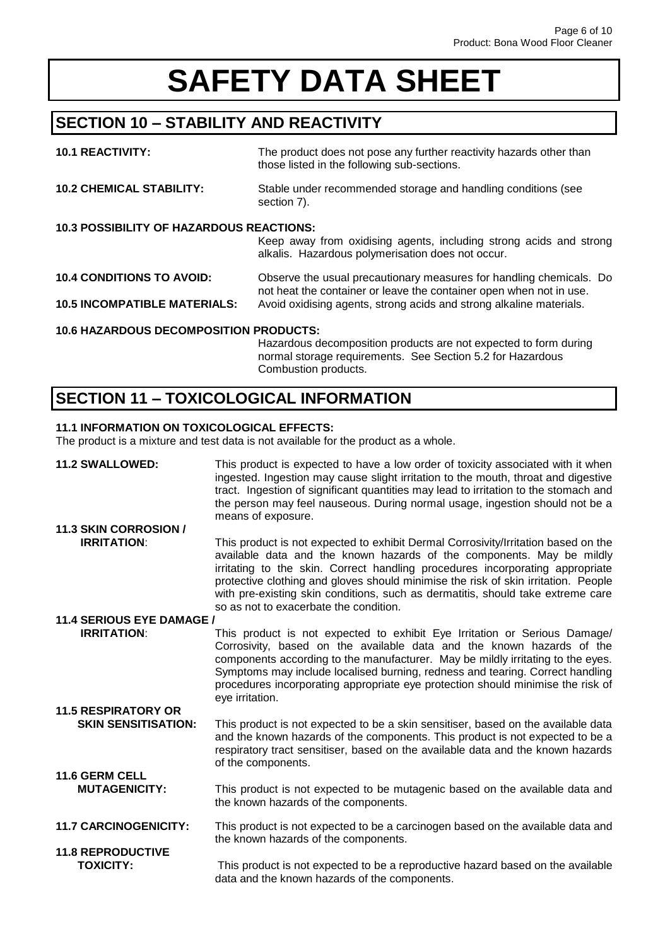## **SECTION 10 – STABILITY AND REACTIVITY**

| <b>10.1 REACTIVITY:</b>                                                                                                                                                         | The product does not pose any further reactivity hazards other than<br>those listed in the following sub-sections.                                                                                                |  |
|---------------------------------------------------------------------------------------------------------------------------------------------------------------------------------|-------------------------------------------------------------------------------------------------------------------------------------------------------------------------------------------------------------------|--|
| <b>10.2 CHEMICAL STABILITY:</b>                                                                                                                                                 | Stable under recommended storage and handling conditions (see<br>section 7).                                                                                                                                      |  |
| <b>10.3 POSSIBILITY OF HAZARDOUS REACTIONS:</b>                                                                                                                                 | Keep away from oxidising agents, including strong acids and strong<br>alkalis. Hazardous polymerisation does not occur.                                                                                           |  |
| <b>10.4 CONDITIONS TO AVOID:</b><br><b>10.5 INCOMPATIBLE MATERIALS:</b>                                                                                                         | Observe the usual precautionary measures for handling chemicals. Do<br>not heat the container or leave the container open when not in use.<br>Avoid oxidising agents, strong acids and strong alkaline materials. |  |
| <b>10.6 HAZARDOUS DECOMPOSITION PRODUCTS:</b><br>Hazardous decomposition products are not expected to form during<br>normal storage requirements. See Section 5.2 for Hazardous |                                                                                                                                                                                                                   |  |

Combustion products.

## **SECTION 11 – TOXICOLOGICAL INFORMATION**

#### **11.1 INFORMATION ON TOXICOLOGICAL EFFECTS:**

The product is a mixture and test data is not available for the product as a whole.

| <b>11.2 SWALLOWED:</b>                       | This product is expected to have a low order of toxicity associated with it when<br>ingested. Ingestion may cause slight irritation to the mouth, throat and digestive<br>tract. Ingestion of significant quantities may lead to irritation to the stomach and<br>the person may feel nauseous. During normal usage, ingestion should not be a<br>means of exposure.                                                         |
|----------------------------------------------|------------------------------------------------------------------------------------------------------------------------------------------------------------------------------------------------------------------------------------------------------------------------------------------------------------------------------------------------------------------------------------------------------------------------------|
| 11.3 SKIN CORROSION /<br><b>IRRITATION:</b>  | This product is not expected to exhibit Dermal Corrosivity/Irritation based on the                                                                                                                                                                                                                                                                                                                                           |
|                                              | available data and the known hazards of the components. May be mildly<br>irritating to the skin. Correct handling procedures incorporating appropriate<br>protective clothing and gloves should minimise the risk of skin irritation. People<br>with pre-existing skin conditions, such as dermatitis, should take extreme care<br>so as not to exacerbate the condition.                                                    |
| 11.4 SERIOUS EYE DAMAGE /                    |                                                                                                                                                                                                                                                                                                                                                                                                                              |
| <b>IRRITATION:</b>                           | This product is not expected to exhibit Eye Irritation or Serious Damage/<br>Corrosivity, based on the available data and the known hazards of the<br>components according to the manufacturer. May be mildly irritating to the eyes.<br>Symptoms may include localised burning, redness and tearing. Correct handling<br>procedures incorporating appropriate eye protection should minimise the risk of<br>eye irritation. |
| <b>11.5 RESPIRATORY OR</b>                   |                                                                                                                                                                                                                                                                                                                                                                                                                              |
| <b>SKIN SENSITISATION:</b>                   | This product is not expected to be a skin sensitiser, based on the available data<br>and the known hazards of the components. This product is not expected to be a<br>respiratory tract sensitiser, based on the available data and the known hazards<br>of the components.                                                                                                                                                  |
| <b>11.6 GERM CELL</b>                        |                                                                                                                                                                                                                                                                                                                                                                                                                              |
| <b>MUTAGENICITY:</b>                         | This product is not expected to be mutagenic based on the available data and<br>the known hazards of the components.                                                                                                                                                                                                                                                                                                         |
| <b>11.7 CARCINOGENICITY:</b>                 | This product is not expected to be a carcinogen based on the available data and<br>the known hazards of the components.                                                                                                                                                                                                                                                                                                      |
| <b>11.8 REPRODUCTIVE</b><br><b>TOXICITY:</b> | This product is not expected to be a reproductive hazard based on the available<br>data and the known hazards of the components.                                                                                                                                                                                                                                                                                             |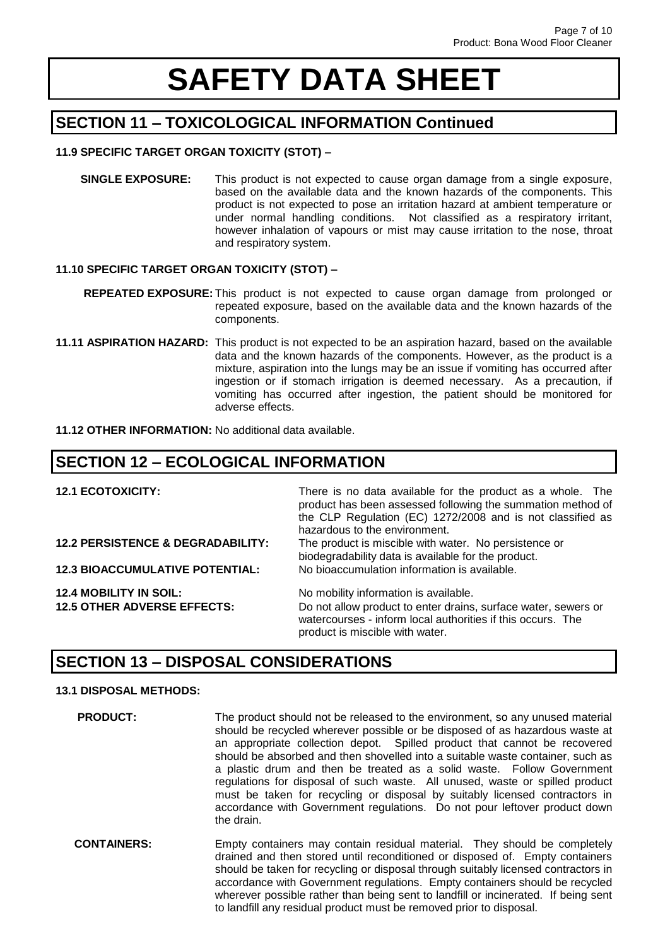## **SECTION 11 – TOXICOLOGICAL INFORMATION Continued**

#### **11.9 SPECIFIC TARGET ORGAN TOXICITY (STOT) –**

 **SINGLE EXPOSURE:** This product is not expected to cause organ damage from a single exposure, based on the available data and the known hazards of the components. This product is not expected to pose an irritation hazard at ambient temperature or under normal handling conditions. Not classified as a respiratory irritant, however inhalation of vapours or mist may cause irritation to the nose, throat and respiratory system.

#### **11.10 SPECIFIC TARGET ORGAN TOXICITY (STOT) –**

- **REPEATED EXPOSURE:** This product is not expected to cause organ damage from prolonged or repeated exposure, based on the available data and the known hazards of the components.
- **11.11 ASPIRATION HAZARD:** This product is not expected to be an aspiration hazard, based on the available data and the known hazards of the components. However, as the product is a mixture, aspiration into the lungs may be an issue if vomiting has occurred after ingestion or if stomach irrigation is deemed necessary. As a precaution, if vomiting has occurred after ingestion, the patient should be monitored for adverse effects.

**11.12 OTHER INFORMATION:** No additional data available.

### **SECTION 12 – ECOLOGICAL INFORMATION**

| <b>12.1 ECOTOXICITY:</b>                     | There is no data available for the product as a whole. The<br>product has been assessed following the summation method of<br>the CLP Regulation (EC) 1272/2008 and is not classified as<br>hazardous to the environment. |
|----------------------------------------------|--------------------------------------------------------------------------------------------------------------------------------------------------------------------------------------------------------------------------|
| <b>12.2 PERSISTENCE &amp; DEGRADABILITY:</b> | The product is miscible with water. No persistence or<br>biodegradability data is available for the product.                                                                                                             |
| <b>12.3 BIOACCUMULATIVE POTENTIAL:</b>       | No bioaccumulation information is available.                                                                                                                                                                             |
| <b>12.4 MOBILITY IN SOIL:</b>                | No mobility information is available.                                                                                                                                                                                    |
| <b>12.5 OTHER ADVERSE EFFECTS:</b>           | Do not allow product to enter drains, surface water, sewers or<br>watercourses - inform local authorities if this occurs. The<br>product is miscible with water.                                                         |

### **SECTION 13 – DISPOSAL CONSIDERATIONS**

#### **13.1 DISPOSAL METHODS:**

- **PRODUCT:** The product should not be released to the environment, so any unused material should be recycled wherever possible or be disposed of as hazardous waste at an appropriate collection depot. Spilled product that cannot be recovered should be absorbed and then shovelled into a suitable waste container, such as a plastic drum and then be treated as a solid waste. Follow Government regulations for disposal of such waste. All unused, waste or spilled product must be taken for recycling or disposal by suitably licensed contractors in accordance with Government regulations. Do not pour leftover product down the drain.
- **CONTAINERS:** Empty containers may contain residual material. They should be completely drained and then stored until reconditioned or disposed of. Empty containers should be taken for recycling or disposal through suitably licensed contractors in accordance with Government regulations. Empty containers should be recycled wherever possible rather than being sent to landfill or incinerated. If being sent to landfill any residual product must be removed prior to disposal.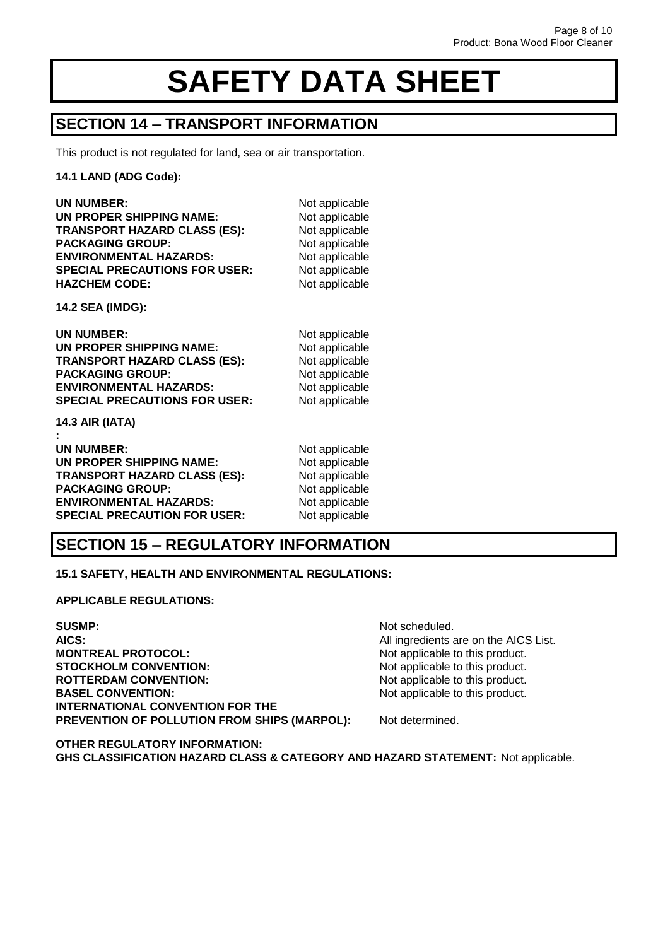### **SECTION 14 – TRANSPORT INFORMATION**

This product is not regulated for land, sea or air transportation.

**14.1 LAND (ADG Code):**

| Not applicable<br>Not applicable<br>Not applicable<br>Not applicable<br>Not applicable<br>Not applicable<br>Not applicable |
|----------------------------------------------------------------------------------------------------------------------------|
|                                                                                                                            |
| Not applicable<br>Not applicable<br>Not applicable<br>Not applicable<br>Not applicable<br>Not applicable                   |
| Not applicable<br>Not applicable<br>Not applicable<br>Not applicable<br>Not applicable<br>Not applicable                   |
|                                                                                                                            |

### **SECTION 15 – REGULATORY INFORMATION**

**15.1 SAFETY, HEALTH AND ENVIRONMENTAL REGULATIONS:**

**APPLICABLE REGULATIONS:**

**SUSMP:** Not scheduled. **AICS:** AICS: **AICS:** AICS: **AICS: AICS** List. **MONTREAL PROTOCOL:** Not applicable to this product. **STOCKHOLM CONVENTION:** Not applicable to this product. **ROTTERDAM CONVENTION:** Not applicable to this product. **BASEL CONVENTION:** Not applicable to this product. **INTERNATIONAL CONVENTION FOR THE** PREVENTION OF POLLUTION FROM SHIPS (MARPOL): Not determined.

**OTHER REGULATORY INFORMATION: GHS CLASSIFICATION HAZARD CLASS & CATEGORY AND HAZARD STATEMENT:** Not applicable.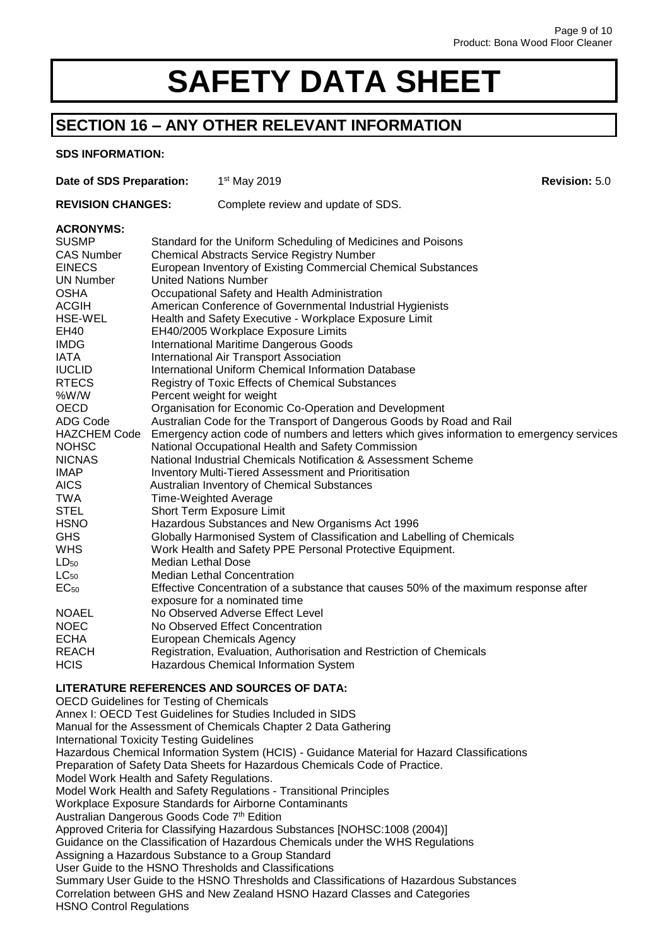## **SECTION 16 – ANY OTHER RELEVANT INFORMATION**

#### **SDS INFORMATION:**

| Date of SDS Preparation:                                                                    |                                                                                                                            | 1 <sup>st</sup> May 2019                                             | <b>Revision: 5.0</b> |  |
|---------------------------------------------------------------------------------------------|----------------------------------------------------------------------------------------------------------------------------|----------------------------------------------------------------------|----------------------|--|
| <b>REVISION CHANGES:</b>                                                                    |                                                                                                                            | Complete review and update of SDS.                                   |                      |  |
| <b>ACRONYMS:</b>                                                                            |                                                                                                                            |                                                                      |                      |  |
| <b>SUSMP</b>                                                                                |                                                                                                                            | Standard for the Uniform Scheduling of Medicines and Poisons         |                      |  |
| <b>CAS Number</b>                                                                           | <b>Chemical Abstracts Service Registry Number</b>                                                                          |                                                                      |                      |  |
| <b>EINECS</b>                                                                               | European Inventory of Existing Commercial Chemical Substances                                                              |                                                                      |                      |  |
| <b>UN Number</b>                                                                            | <b>United Nations Number</b>                                                                                               |                                                                      |                      |  |
| <b>OSHA</b>                                                                                 | Occupational Safety and Health Administration                                                                              |                                                                      |                      |  |
| <b>ACGIH</b>                                                                                | American Conference of Governmental Industrial Hygienists                                                                  |                                                                      |                      |  |
| <b>HSE-WEL</b>                                                                              | Health and Safety Executive - Workplace Exposure Limit                                                                     |                                                                      |                      |  |
| EH40                                                                                        | EH40/2005 Workplace Exposure Limits                                                                                        |                                                                      |                      |  |
| <b>IMDG</b>                                                                                 | <b>International Maritime Dangerous Goods</b>                                                                              |                                                                      |                      |  |
| IATA                                                                                        | International Air Transport Association                                                                                    |                                                                      |                      |  |
| <b>IUCLID</b>                                                                               | International Uniform Chemical Information Database                                                                        |                                                                      |                      |  |
| <b>RTECS</b>                                                                                | Registry of Toxic Effects of Chemical Substances                                                                           |                                                                      |                      |  |
| %W/W                                                                                        | Percent weight for weight                                                                                                  |                                                                      |                      |  |
| <b>OECD</b>                                                                                 | Organisation for Economic Co-Operation and Development                                                                     |                                                                      |                      |  |
| ADG Code                                                                                    | Australian Code for the Transport of Dangerous Goods by Road and Rail                                                      |                                                                      |                      |  |
| <b>HAZCHEM Code</b>                                                                         | Emergency action code of numbers and letters which gives information to emergency services                                 |                                                                      |                      |  |
| <b>NOHSC</b>                                                                                | National Occupational Health and Safety Commission                                                                         |                                                                      |                      |  |
| <b>NICNAS</b>                                                                               | National Industrial Chemicals Notification & Assessment Scheme                                                             |                                                                      |                      |  |
| <b>IMAP</b><br><b>AICS</b>                                                                  | <b>Inventory Multi-Tiered Assessment and Prioritisation</b>                                                                |                                                                      |                      |  |
| <b>TWA</b>                                                                                  | Australian Inventory of Chemical Substances<br><b>Time-Weighted Average</b>                                                |                                                                      |                      |  |
| <b>STEL</b>                                                                                 |                                                                                                                            | Short Term Exposure Limit                                            |                      |  |
| <b>HSNO</b>                                                                                 |                                                                                                                            |                                                                      |                      |  |
| <b>GHS</b>                                                                                  | Hazardous Substances and New Organisms Act 1996<br>Globally Harmonised System of Classification and Labelling of Chemicals |                                                                      |                      |  |
| <b>WHS</b>                                                                                  | Work Health and Safety PPE Personal Protective Equipment.                                                                  |                                                                      |                      |  |
| $LD_{50}$                                                                                   | Median Lethal Dose                                                                                                         |                                                                      |                      |  |
| $LC_{50}$                                                                                   |                                                                                                                            |                                                                      |                      |  |
| $EC_{50}$                                                                                   | <b>Median Lethal Concentration</b><br>Effective Concentration of a substance that causes 50% of the maximum response after |                                                                      |                      |  |
|                                                                                             |                                                                                                                            | exposure for a nominated time                                        |                      |  |
| <b>NOAEL</b>                                                                                |                                                                                                                            | No Observed Adverse Effect Level                                     |                      |  |
| <b>NOEC</b>                                                                                 |                                                                                                                            | No Observed Effect Concentration                                     |                      |  |
| <b>ECHA</b>                                                                                 |                                                                                                                            | <b>European Chemicals Agency</b>                                     |                      |  |
| <b>REACH</b>                                                                                |                                                                                                                            | Registration, Evaluation, Authorisation and Restriction of Chemicals |                      |  |
| <b>HCIS</b>                                                                                 |                                                                                                                            | <b>Hazardous Chemical Information System</b>                         |                      |  |
|                                                                                             |                                                                                                                            | LITERATURE REFERENCES AND SOURCES OF DATA:                           |                      |  |
| <b>OECD Guidelines for Testing of Chemicals</b>                                             |                                                                                                                            |                                                                      |                      |  |
| Annex I: OECD Test Guidelines for Studies Included in SIDS                                  |                                                                                                                            |                                                                      |                      |  |
| Manual for the Assessment of Chemicals Chapter 2 Data Gathering                             |                                                                                                                            |                                                                      |                      |  |
| <b>International Toxicity Testing Guidelines</b>                                            |                                                                                                                            |                                                                      |                      |  |
| Hazardous Chemical Information System (HCIS) - Guidance Material for Hazard Classifications |                                                                                                                            |                                                                      |                      |  |
| Preparation of Safety Data Sheets for Hazardous Chemicals Code of Practice.                 |                                                                                                                            |                                                                      |                      |  |
| Model Work Health and Safety Regulations.                                                   |                                                                                                                            |                                                                      |                      |  |
| Model Work Health and Safety Regulations - Transitional Principles                          |                                                                                                                            |                                                                      |                      |  |
| Workplace Exposure Standards for Airborne Contaminants                                      |                                                                                                                            |                                                                      |                      |  |
| Australian Dangerous Goods Code 7th Edition                                                 |                                                                                                                            |                                                                      |                      |  |
|                                                                                             | Approved Criteria for Classifying Hazardous Substances [NOHSC:1008 (2004)]                                                 |                                                                      |                      |  |
|                                                                                             | Guidance on the Classification of Hazardous Chemicals under the WHS Regulations                                            |                                                                      |                      |  |

Assigning a Hazardous Substance to a Group Standard

User Guide to the HSNO Thresholds and Classifications

Summary User Guide to the HSNO Thresholds and Classifications of Hazardous Substances

Correlation between GHS and New Zealand HSNO Hazard Classes and Categories

HSNO Control Regulations